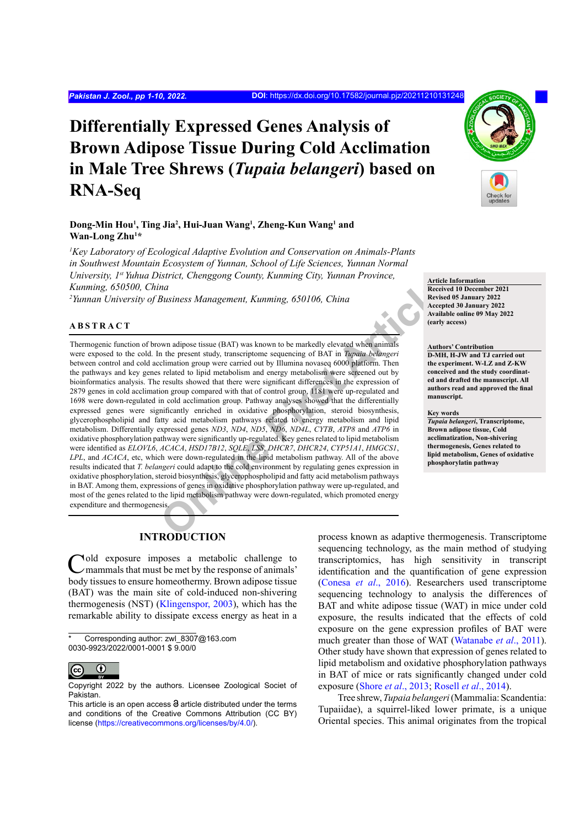# **Differentially Expressed Genes Analysis of Brown Adipose Tissue During Cold Acclimation in Male Tree Shrews (***Tupaia belangeri***) based on RNA-Seq**

## **Dong-Min Hou1 , Ting Jia2 , Hui-Juan Wang1 , Zheng-Kun Wang1 and Wan-Long Zhu1 \***

*1 Key Laboratory of Ecological Adaptive Evolution and Conservation on Animals-Plants in Southwest Mountain Ecosystem of Yunnan, School of Life Sciences, Yunnan Normal University, 1st Yuhua District, Chenggong County, Kunming City, Yunnan Province, Kunming, 650500, China*

*2 Yunnan University of Business Management, Kunming, 650106, China*

## **ABSTRACT**

**Existence School and Markon Consumers Article**<br> *Article*<br> *Online and*<br> *Online and Article*<br> *Online present study, transcriptome sequencing of BAT in Tupata belangeri*<br>
Article (and a stated to lipid metabolism and ene Thermogenic function of brown adipose tissue (BAT) was known to be markedly elevated when animals were exposed to the cold. In the present study, transcriptome sequencing of BAT in *Tupaia belangeri* between control and cold acclimation group were carried out by Illumina novaseq 6000 platform. Then the pathways and key genes related to lipid metabolism and energy metabolism were screened out by bioinformatics analysis. The results showed that there were significant differences in the expression of 2879 genes in cold acclimation group compared with that of control group, 1181 were up-regulated and 1698 were down-regulated in cold acclimation group. Pathway analyses showed that the differentially expressed genes were significantly enriched in oxidative phosphorylation, steroid biosynthesis, glycerophospholipid and fatty acid metabolism pathways related to energy metabolism and lipid metabolism. Differentially expressed genes *ND3*, *ND4*, *ND5*, *ND6*, *ND4L*, *CYTB*, *ATP8* and *ATP6* in oxidative phosphorylation pathway were significantly up-regulated. Key genes related to lipid metabolism were identified as *ELOVL6*, *ACACA*, *HSD17B12*, *SQLE*, *LSS*, *DHCR7*, *DHCR24*, *CYP51A1*, *HMGCS1*, *LPL*, and *ACACA*, etc, which were down-regulated in the lipid metabolism pathway. All of the above results indicated that *T. belangeri* could adapt to the cold environment by regulating genes expression in oxidative phosphorylation, steroid biosynthesis, glycerophospholipid and fatty acid metabolism pathways in BAT. Among them, expressions of genes in oxidative phosphorylation pathway were up-regulated, and most of the genes related to the lipid metabolism pathway were down-regulated, which promoted energy expenditure and thermogenesis.



**Article Information Received 10 December 2021 Revised 05 January 2022 Accepted 30 January 2022 Available online 09 May 2022 (early access)**

**Authors' Contribution D-MH, H-JW and TJ carried out the experiment. W-LZ and Z-KW conceived and the study coordinated and drafted the manuscript. All authors read and approved the final manuscript.**

#### **Key words**

*Tupaia belangeri***, Transcriptome, Brown adipose tissue, Cold acclimatization, Non-shivering thermogenesis, Genes related to lipid metabolism, Genes of oxidative phosphorylatin pathway**

# **INTRODUCTION**

Cold exposure imposes a metabolic challenge to mammals that must be met by the response of animals' body tissues to ensure homeothermy. Brown adipose tissue (BAT) was the main site of cold-induced non-shivering thermogenesis (NST) ([Klingenspor, 2003](#page-7-0)), which has the remarkable ability to dissipate excess energy as heat in a

Corresponding author: zwl\_8307@163.com 0030-9923/2022/0001-0001 \$ 9.00/0



Copyright 2022 by the authors. Licensee Zoological Societ of Pakistan.

process known as adaptive thermogenesis. Transcriptome sequencing technology, as the main method of studying transcriptomics, has high sensitivity in transcript identification and the quantification of gene expression [\(Conesa](#page-7-1) *et al*., 2016). Researchers used transcriptome sequencing technology to analysis the differences of BAT and white adipose tissue (WAT) in mice under cold exposure, the results indicated that the effects of cold exposure on the gene expression profiles of BAT were much greater than those of WAT ([Watanabe](#page-9-0) *et al*., 2011). Other study have shown that expression of genes related to lipid metabolism and oxidative phosphorylation pathways in BAT of mice or rats significantly changed under cold exposure (Shore *et al*[., 2013](#page-8-0); [Rosell](#page-8-1) *et al*., 2014).

Tree shrew, *Tupaia belangeri* (Mammalia: Scandentia: Tupaiidae), a squirrel-liked lower primate, is a unique Oriental species. This animal originates from the tropical

This article is an open access  $\Theta$  article distributed under the terms and conditions of the Creative Commons Attribution (CC BY) license (https://creativecommons.org/licenses/by/4.0/).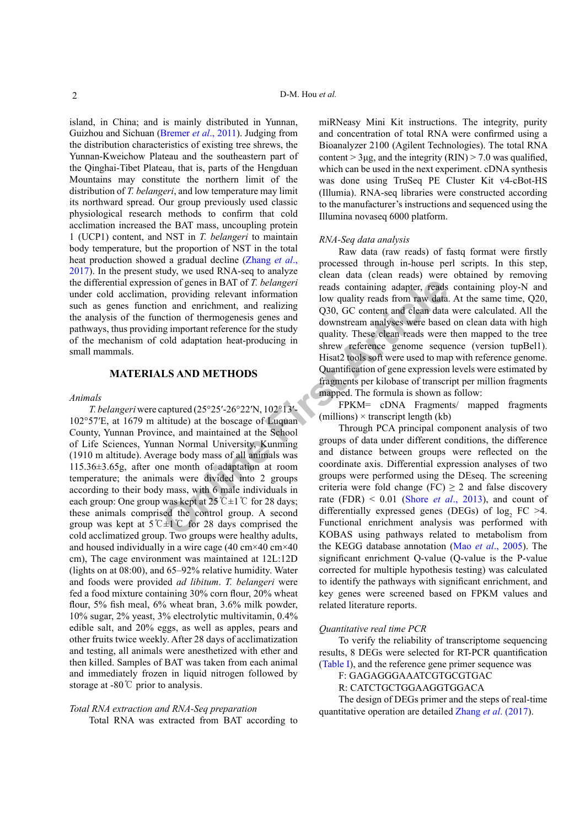island, in China; and is mainly distributed in Yunnan, Guizhou and Sichuan [\(Bremer](#page-7-2) *et al*., 2011). Judging from the distribution characteristics of existing tree shrews, the Yunnan-Kweichow Plateau and the southeastern part of the Qinghai-Tibet Plateau, that is, parts of the Hengduan Mountains may constitute the northern limit of the distribution of *T. belangeri*, and low temperature may limit its northward spread. Our group previously used classic physiological research methods to confirm that cold acclimation increased the BAT mass, uncoupling protein 1 (UCP1) content, and NST in *T. belangeri* to maintain body temperature, but the proportion of NST in the total heat production showed a gradual decline [\(Zhang](#page-9-1) *et al*., [2017\)](#page-9-1). In the present study, we used RNA-seq to analyze the differential expression of genes in BAT of *T. belangeri* under cold acclimation, providing relevant information such as genes function and enrichment, and realizing the analysis of the function of thermogenesis genes and pathways, thus providing important reference for the study of the mechanism of cold adaptation heat-producing in small mammals.

### **MATERIALS AND METHODS**

#### *Animals*

From the end entirchment, and railway reads on<br>taining adapter, reads containing adapter, reads containing adapter, reads<br>non an entirchment, and realizing the quality reads from raw data.<br>Interior of thermogenesis genes *T. belangeri* were captured (25°25′-26°22′N, 102°13′- 102°57′E, at 1679 m altitude) at the boscage of Luquan County, Yunnan Province, and maintained at the School of Life Sciences, Yunnan Normal University, Kunming (1910 m altitude). Average body mass of all animals was 115.36±3.65g, after one month of adaptation at room temperature; the animals were divided into 2 groups according to their body mass, with 6 male individuals in each group: One group was kept at  $25^{\circ}$ C $\pm$ 1°C for 28 days; these animals comprised the control group. A second group was kept at  $5^{\circ}$  C for 28 days comprised the cold acclimatized group. Two groups were healthy adults, and housed individually in a wire cage (40 cm×40 cm×40 cm), The cage environment was maintained at 12L:12D (lights on at 08:00), and 65–92% relative humidity. Water and foods were provided *ad libitum*. *T. belangeri* were fed a food mixture containing 30% corn flour, 20% wheat flour, 5% fish meal, 6% wheat bran, 3.6% milk powder, 10% sugar, 2% yeast, 3% electrolytic multivitamin, 0.4% edible salt, and 20% eggs, as well as apples, pears and other fruits twice weekly. After 28 days of acclimatization and testing, all animals were anesthetized with ether and then killed. Samples of BAT was taken from each animal and immediately frozen in liquid nitrogen followed by storage at -80℃ prior to analysis.

## *Total RNA extraction and RNA-Seq preparation* Total RNA was extracted from BAT according to

miRNeasy Mini Kit instructions. The integrity, purity and concentration of total RNA were confirmed using a Bioanalyzer 2100 (Agilent Technologies). The total RNA content  $>$  3µg, and the integrity (RIN)  $>$  7.0 was qualified, which can be used in the next experiment. cDNA synthesis was done using TruSeq PE Cluster Kit v4-cBot-HS (Illumia). RNA-seq libraries were constructed according to the manufacturer's instructions and sequenced using the Illumina novaseq 6000 platform.

## *RNA-Seq data analysis*

Raw data (raw reads) of fastq format were firstly processed through in-house perl scripts. In this step, clean data (clean reads) were obtained by removing reads containing adapter, reads containing ploy-N and low quality reads from raw data. At the same time, Q20, Q30, GC content and clean data were calculated. All the downstream analyses were based on clean data with high quality. These clean reads were then mapped to the tree shrew reference genome sequence (version tupBel1). Hisat2 tools soft were used to map with reference genome. Quantification of gene expression levels were estimated by fragments per kilobase of transcript per million fragments mapped. The formula is shown as follow:

FPKM= cDNA Fragments/ mapped fragments  $(millions)$  × transcript length (kb)

Through PCA principal component analysis of two groups of data under different conditions, the difference and distance between groups were reflected on the coordinate axis. Differential expression analyses of two groups were performed using the DEseq. The screening criteria were fold change (FC)  $\geq$  2 and false discovery rate (FDR)  $\leq 0.01$  (Shore *et al.*, 2013), and count of differentially expressed genes (DEGs) of  $log_2$  FC >4. Functional enrichment analysis was performed with KOBAS using pathways related to metabolism from the KEGG database annotation (Mao *et al*[., 2005\)](#page-8-2). The significant enrichment Q-value (Q-value is the P-value corrected for multiple hypothesis testing) was calculated to identify the pathways with significant enrichment, and key genes were screened based on FPKM values and related literature reports.

#### *Quantitative real time PCR*

To verify the reliability of transcriptome sequencing results, 8 DEGs were selected for RT-PCR quantification [\(Table I](#page-2-0)), and the reference gene primer sequence was

F: GAGAGGGAAATCGTGCGTGAC

R: CATCTGCTGGAAGGTGGACA

The design of DEGs primer and the steps of real-time quantitative operation are detailed Zhang *et al*[. \(2017\)](#page-9-1).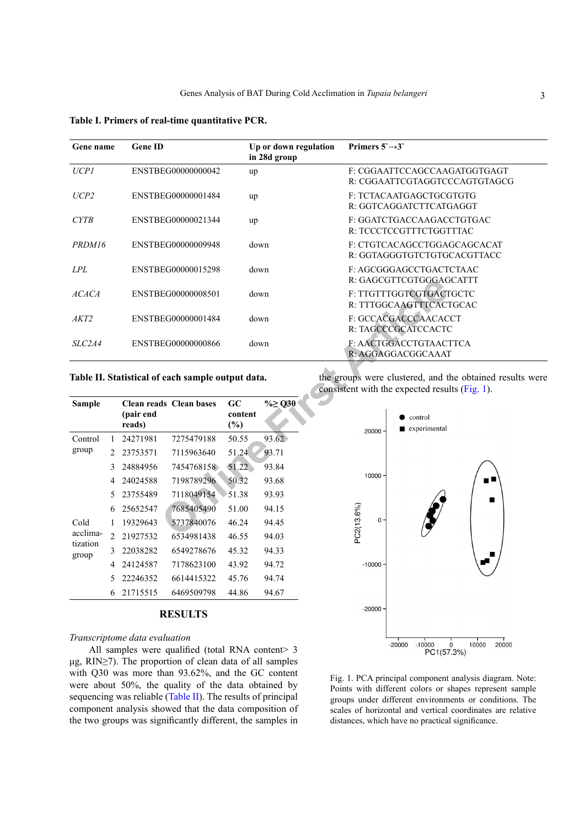<span id="page-2-0"></span>**Table I. Primers of real-time quantitative PCR.**

| Gene name        |              | <b>Gene ID</b>      |                                                   |                      | Up or down regulation<br>in 28d group |               | Primers $5 \rightarrow 3$ |                                                                                                            |
|------------------|--------------|---------------------|---------------------------------------------------|----------------------|---------------------------------------|---------------|---------------------------|------------------------------------------------------------------------------------------------------------|
| <b>UCP1</b>      |              |                     | ENSTBEG00000000042                                | up                   |                                       |               |                           | F: CGGAATTCCAGCCAAGATGGTGAGT<br>R: CGGAATTCGTAGGTCCCAGTGTAGCG                                              |
| UCP <sub>2</sub> |              |                     | ENSTBEG00000001484                                | up                   |                                       |               |                           | F: TCTACAATGAGCTGCGTGTG<br>R: GGTCAGGATCTTCATGAGGT                                                         |
| <b>CYTB</b>      |              |                     | ENSTBEG00000021344                                | up                   |                                       |               |                           | F: GGATCTGACCAAGACCTGTGAC<br>R: TCCCTCCGTTTCTGGTTTAC                                                       |
| PRDM16           |              |                     | ENSTBEG00000009948                                |                      | down                                  |               |                           | F: CTGTCACAGCCTGGAGCAGCACAT<br>R: GGTAGGGTGTCTGTGCACGTTACC                                                 |
| LPL              |              |                     | ENSTBEG00000015298                                |                      | down                                  |               |                           | F: AGCGGGAGCCTGACTCTAAC<br>R: GAGCGTTCGTGGGAGCATTT                                                         |
| <b>ACACA</b>     |              |                     | ENSTBEG00000008501                                |                      | down                                  |               |                           | F: TTGTTTGGTCGTGACTGCTC<br>R: TTTGGCAAGTTTCACTGCAC                                                         |
| AKT2             |              |                     | ENSTBEG00000001484                                |                      | down                                  |               |                           | F: GCCACGACCCAACACCT<br>R: TAGCCCGCATCCACTC                                                                |
| SLC2A4           |              |                     | ENSTBEG00000000866                                |                      | down                                  |               |                           | F: AACTGGACCTGTAACTTCA<br>R: AGGAGGACGGCAAAT                                                               |
|                  |              |                     | Table II. Statistical of each sample output data. |                      |                                       |               |                           | the groups were clustered, and the obtained results were<br>consistent with the expected results (Fig. 1). |
| <b>Sample</b>    |              | (pair end<br>reads) | <b>Clean reads Clean bases</b>                    | GC<br>content<br>(%) | $\% \geq Q30$                         |               | 20000                     | control<br>$\blacksquare$ experimental                                                                     |
| Control          | $\mathbf{1}$ | 24271981            | 7275479188                                        | 50.55                | 93.62                                 |               |                           |                                                                                                            |
| group            | 2            | 23753571            | 7115963640                                        | 51.24                | 93.71                                 |               |                           |                                                                                                            |
|                  | 3            | 24884956            | 7454768158                                        | 51.22                | 93.84                                 |               |                           |                                                                                                            |
|                  | 4            | 24024588            | 7198789296<br>50.32<br>7118049154<br>51.38        |                      | 93.68                                 | $10000 \cdot$ |                           | n 9                                                                                                        |
|                  | 5            | 23755489            |                                                   |                      | 93.93                                 |               |                           | ■                                                                                                          |
|                  | 6            | 25652547            | 7685405490                                        | 51.00                | 94.15                                 |               | $C2(13.6\%)$              |                                                                                                            |
| Cold             |              | 19329643            | 5737840076                                        | 46.24                | 94.45                                 |               |                           | $0 \cdot$                                                                                                  |
| acclima-         |              | 2.21027522          | 6524001420                                        | 46.55                | 04.02                                 |               |                           |                                                                                                            |

#### <span id="page-2-1"></span>**Table II. Statistical of each sample output data.**

| Sample            |                | (pair end<br>reads) | <b>Clean reads Clean bases</b> | GC<br>content<br>$(\%)$ | %≥ Q30 |
|-------------------|----------------|---------------------|--------------------------------|-------------------------|--------|
| Control           | 1              | 24271981            | 7275479188                     | 50.55                   | 93.62  |
| group             | 2              | 23753571            | 7115963640                     | 51.24                   | 93.71  |
|                   | 3              | 24884956            | 7454768158                     | 51.22                   | 93.84  |
|                   | 4              | 24024588            | 7198789296                     | 50.32                   | 93.68  |
|                   | 5              | 23755489            | 7118049154                     | 51.38                   | 93.93  |
|                   | 6              | 25652547            | 7685405490                     | 51.00                   | 94.15  |
| Cold              | 1              | 19329643            | 5737840076                     | 46.24                   | 94.45  |
| acclima-          | $\mathfrak{D}$ | 21927532            | 6534981438                     | 46.55                   | 94.03  |
| tization<br>group | 3              | 22038282            | 6549278676                     | 45.32                   | 94.33  |
|                   | 4              | 24124587            | 7178623100                     | 43.92                   | 94.72  |
|                   | 5              | 22246352            | 6614415322                     | 45.76                   | 94.74  |
|                   | 6              | 21715515            | 6469509798                     | 44.86                   | 94.67  |

#### **RESULTS**

## *Transcriptome data evaluation*

All samples were qualified (total RNA content> 3 μg, RIN≥7). The proportion of clean data of all samples with Q30 was more than 93.62%, and the GC content were about 50%, the quality of the data obtained by sequencing was reliable ([Table II\)](#page-2-1). The results of principal component analysis showed that the data composition of the two groups was significantly different, the samples in



<span id="page-2-2"></span>Fig. 1. PCA principal component analysis diagram. Note: Points with different colors or shapes represent sample groups under different environments or conditions. The scales of horizontal and vertical coordinates are relative distances, which have no practical significance.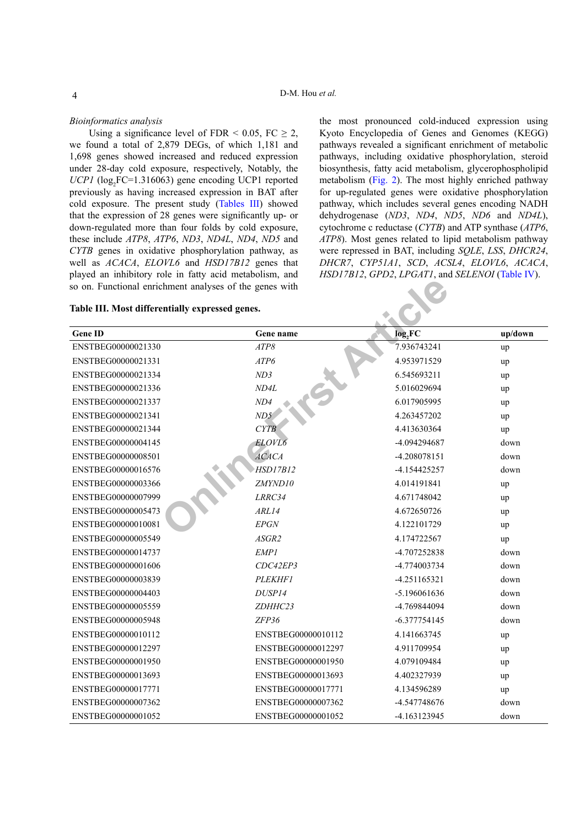#### *Bioinformatics analysis*

Using a significance level of FDR < 0.05, FC  $\geq$  2, we found a total of 2,879 DEGs, of which 1,181 and 1,698 genes showed increased and reduced expression under 28-day cold exposure, respectively, Notably, the  $UCPI$  ( $log_2$ FC=1.316063) gene encoding UCP1 reported previously as having increased expression in BAT after cold exposure. The present study ([Tables III](#page-3-0)) showed that the expression of 28 genes were significantly up- or down-regulated more than four folds by cold exposure, these include *ATP8*, *ATP6*, *ND3*, *ND4L*, *ND4*, *ND5* and *CYTB* genes in oxidative phosphorylation pathway, as well as *ACACA*, *ELOVL6* and *HSD17B12* genes that played an inhibitory role in fatty acid metabolism, and so on. Functional enrichment analyses of the genes with

the most pronounced cold-induced expression using Kyoto Encyclopedia of Genes and Genomes (KEGG) pathways revealed a significant enrichment of metabolic pathways, including oxidative phosphorylation, steroid biosynthesis, fatty acid metabolism, glycerophospholipid metabolism [\(Fig. 2\)](#page-4-0). The most highly enriched pathway for up-regulated genes were oxidative phosphorylation pathway, which includes several genes encoding NADH dehydrogenase (*ND3*, *ND4*, *ND5*, *ND6* and *ND4L*), cytochrome c reductase (*CYTB*) and ATP synthase (*ATP6*, *ATP8*). Most genes related to lipid metabolism pathway were repressed in BAT, including *SQLE*, *LSS*, *DHCR24*, *DHCR7*, *CYP51A1*, *SCD*, *ACSL4*, *ELOVL6*, *ACACA*, *HSD17B12*, *GPD2*, *LPGAT1*, and *SELENOI* [\(Table IV](#page-4-1)).

## <span id="page-3-0"></span>**Table III. Most differentially expressed genes.**

| <b>Gene ID</b>     | Gene name          | log,FC         | up/down |
|--------------------|--------------------|----------------|---------|
| ENSTBEG00000021330 | ATP8               | 7.936743241    | up      |
| ENSTBEG00000021331 | ATP6               | 4.953971529    | up      |
| ENSTBEG00000021334 | ND3                | 6.545693211    | up      |
| ENSTBEG00000021336 | ND4L               | 5.016029694    | up      |
| ENSTBEG00000021337 | ND4                | 6.017905995    | up      |
| ENSTBEG00000021341 | ND5                | 4.263457202    | up      |
| ENSTBEG00000021344 | CYTB               | 4.413630364    | up      |
| ENSTBEG00000004145 | ELOVL6             | -4.094294687   | down    |
| ENSTBEG00000008501 | <b>ACACA</b>       | -4.208078151   | down    |
| ENSTBEG00000016576 | <b>HSD17B12</b>    | -4.154425257   | down    |
| ENSTBEG00000003366 | ZMYND10            | 4.014191841    | up      |
| ENSTBEG00000007999 | LRRC34             | 4.671748042    | up      |
| ENSTBEG00000005473 | ARL14              | 4.672650726    | up      |
| ENSTBEG00000010081 | <b>EPGN</b>        | 4.122101729    | up      |
| ENSTBEG00000005549 | ASGR2              | 4.174722567    | up      |
| ENSTBEG00000014737 | EMP1               | -4.707252838   | down    |
| ENSTBEG00000001606 | CDC42EP3           | -4.774003734   | down    |
| ENSTBEG00000003839 | PLEKHF1            | $-4.251165321$ | down    |
| ENSTBEG00000004403 | DUSP14             | -5.196061636   | down    |
| ENSTBEG00000005559 | ZDHHC23            | -4.769844094   | down    |
| ENSTBEG00000005948 | ZFP36              | -6.377754145   | down    |
| ENSTBEG00000010112 | ENSTBEG00000010112 | 4.141663745    | up      |
| ENSTBEG00000012297 | ENSTBEG00000012297 | 4.911709954    | up      |
| ENSTBEG00000001950 | ENSTBEG00000001950 | 4.079109484    | up      |
| ENSTBEG00000013693 | ENSTBEG00000013693 | 4.402327939    | up      |
| ENSTBEG00000017771 | ENSTBEG00000017771 | 4.134596289    | up      |
| ENSTBEG00000007362 | ENSTBEG00000007362 | -4.547748676   | down    |
| ENSTBEG00000001052 | ENSTBEG00000001052 | -4.163123945   | down    |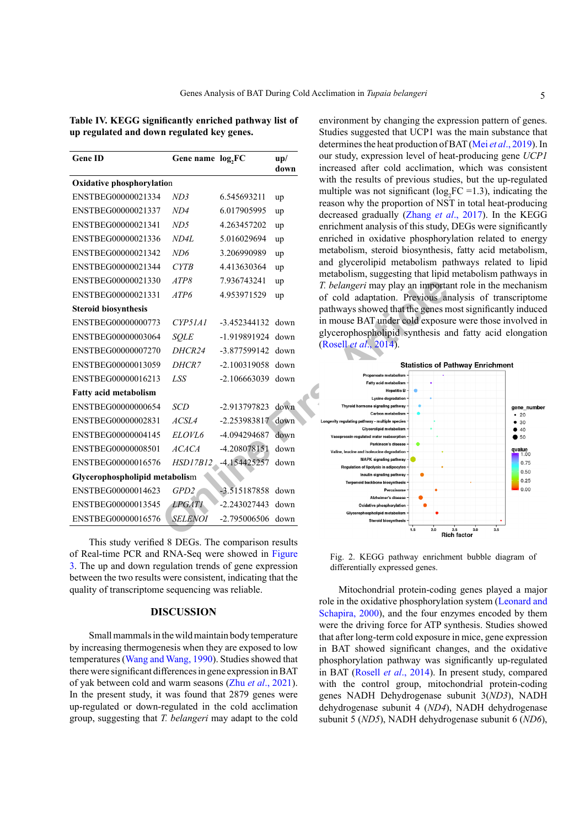<span id="page-4-1"></span>**Table IV. KEGG significantly enriched pathway list of up regulated and down regulated key genes.**

| <b>Gene ID</b>                   | Gene name log, FC |                     | up/<br>down |
|----------------------------------|-------------------|---------------------|-------------|
| <b>Oxidative phosphorylation</b> |                   |                     |             |
| ENSTBEG00000021334               | ND3               | 6.545693211         | up          |
| ENSTBEG00000021337               | ND4               | 6.017905995         | up          |
| ENSTBEG00000021341               | ND5               | 4.263457202         | up          |
| ENSTBEG00000021336               | ND4L              | 5.016029694         | up          |
| ENSTBEG00000021342               | N <sub>D6</sub>   | 3.206990989         | up          |
| ENSTBEG00000021344               | CYTB              | 4.413630364         | up          |
| ENSTBEG00000021330               | ATP8              | 7.936743241         | up          |
| ENSTBEG00000021331               | ATP6              | 4.953971529         | up          |
| <b>Steroid biosynthesis</b>      |                   |                     |             |
| ENSTBEG00000000773               | CYP51A1           | $-3.452344132$      | down        |
| ENSTBEG00000003064               | <b>SOLE</b>       | -1.919891924        | down        |
| ENSTBEG00000007270               | DHCR24            | $-3.877599142$ down |             |
| ENSTBEG00000013059               | <i>DHCR7</i>      | -2.100319058 down   |             |
| ENSTBEG00000016213               | <b>LSS</b>        | $-2.106663039$      | down        |
| Fatty acid metabolism            |                   |                     |             |
| ENSTBEG00000000654               | <b>SCD</b>        | -2.913797823        | down        |
| ENSTBEG00000002831               | ACSL4             | $-2.253983817$      | down        |
|                                  | ELOVL6            | -4.094294687        |             |
| ENSTBEG00000004145               |                   |                     | down        |
| ENSTBEG00000008501               | <b>ACACA</b>      | -4.208078151        | down        |
| ENSTBEG00000016576               | HSD17B12          | -4.154425257        | down        |
| Glycerophospholipid metabolism   |                   |                     |             |
| ENSTBEG00000014623               | GPD2              | -3.515187858        | down        |
| ENSTBEG00000013545               | <i>LPGATI</i>     | $-2.243027443$      | down        |
| ENSTBEG00000016576               | <b>SELENOI</b>    | -2.795006506 down   |             |

This study verified 8 DEGs. The comparison results of Real-time PCR and RNA-Seq were showed in [Figure](#page-5-0) [3](#page-5-0). The up and down regulation trends of gene expression between the two results were consistent, indicating that the quality of transcriptome sequencing was reliable.

## **DISCUSSION**

Small mammals in the wild maintain body temperature by increasing thermogenesis when they are exposed to low temperatures ([Wang and Wang, 1990](#page-9-2)). Studies showed that there were significant differences in gene expression in BAT of yak between cold and warm seasons (Zhu *et al*[., 2021](#page-9-3)). In the present study, it was found that 2879 genes were up-regulated or down-regulated in the cold acclimation group, suggesting that *T. belangeri* may adapt to the cold

environment by changing the expression pattern of genes. Studies suggested that UCP1 was the main substance that determines the heat production of BAT (Mei *et al*[., 2019](#page-8-3)). In our study, expression level of heat-producing gene *UCP1* increased after cold acclimation, which was consistent with the results of previous studies, but the up-regulated multiple was not significant ( $log_2FC = 1.3$ ), indicating the reason why the proportion of NST in total heat-producing decreased gradually (Zhang *et al*[., 2017](#page-9-1)). In the KEGG enrichment analysis of this study, DEGs were significantly enriched in oxidative phosphorylation related to energy metabolism, steroid biosynthesis, fatty acid metabolism, and glycerolipid metabolism pathways related to lipid metabolism, suggesting that lipid metabolism pathways in *T. belangeri* may play an important role in the mechanism of cold adaptation. Previous analysis of transcriptome pathways showed that the genes most significantly induced in mouse BAT under cold exposure were those involved in glycerophospholipid synthesis and fatty acid elongation (Rosell *et al*., 2014).



<span id="page-4-0"></span>Fig. 2. KEGG pathway enrichment bubble diagram of differentially expressed genes.

Mitochondrial protein-coding genes played a major role in the oxidative phosphorylation system ([Leonard and](#page-7-3) [Schapira, 2000\)](#page-7-3), and the four enzymes encoded by them were the driving force for ATP synthesis. Studies showed that after long-term cold exposure in mice, gene expression in BAT showed significant changes, and the oxidative phosphorylation pathway was significantly up-regulated in BAT (Rosell *et al*[., 2014](#page-8-1)). In present study, compared with the control group, mitochondrial protein-coding genes NADH Dehydrogenase subunit 3(*ND3*), NADH dehydrogenase subunit 4 (*ND4*), NADH dehydrogenase subunit 5 (*ND5*), NADH dehydrogenase subunit 6 (*ND6*),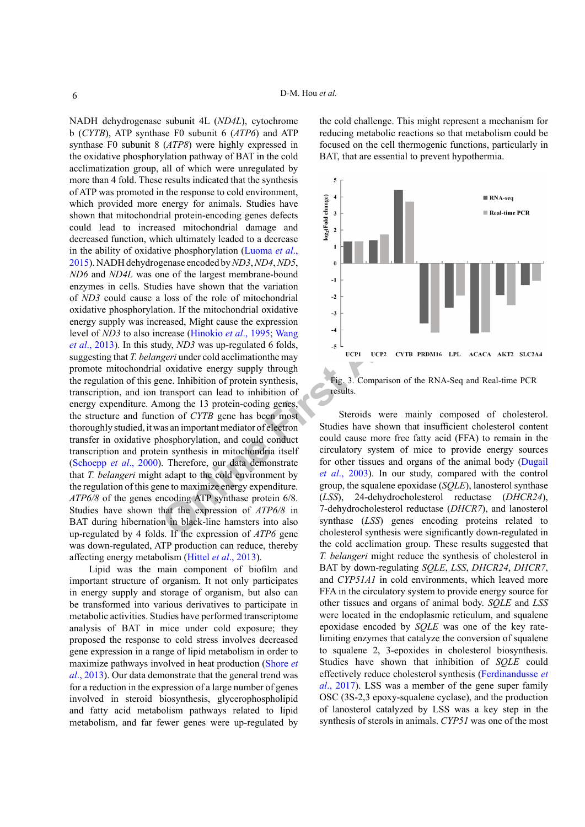lies have shown that the variation<br>
loss of the role of mitochondrial<br>
con. If the mitochondrial oxidative<br>
crease (Hinokio *et al.*, 1995; Wang<br>
dry, *ND3* was up-regulated 6 folds,<br> *geri* under cold acclimation<br>the may<br> NADH dehydrogenase subunit 4L (*ND4L*), cytochrome b (*CYTB*), ATP synthase F0 subunit 6 (*ATP6*) and ATP synthase F0 subunit 8 (*ATP8*) were highly expressed in the oxidative phosphorylation pathway of BAT in the cold acclimatization group, all of which were unregulated by more than 4 fold. These results indicated that the synthesis of ATP was promoted in the response to cold environment, which provided more energy for animals. Studies have shown that mitochondrial protein-encoding genes defects could lead to increased mitochondrial damage and decreased function, which ultimately leaded to a decrease in the ability of oxidative phosphorylation ([Luoma](#page-8-4) *et al*., [2015\)](#page-8-4). NADH dehydrogenase encoded by *ND3*, *ND4*, *ND5*, *ND6* and *ND4L* was one of the largest membrane-bound enzymes in cells. Studies have shown that the variation of *ND3* could cause a loss of the role of mitochondrial oxidative phosphorylation. If the mitochondrial oxidative energy supply was increased, Might cause the expression level of *ND3* to also increase (Hinokio *et al*., 1995; Wang *et al*[., 2013](#page-9-4)). In this study, *ND3* was up-regulated 6 folds, suggesting that *T. belangeri* under cold acclimationthe may promote mitochondrial oxidative energy supply through the regulation of this gene. Inhibition of protein synthesis, transcription, and ion transport can lead to inhibition of energy expenditure. Among the 13 protein-coding genes, the structure and function of *CYTB* gene has been most thoroughly studied, it was an important mediator of electron transfer in oxidative phosphorylation, and could conduct transcription and protein synthesis in mitochondria itself [\(Schoepp](#page-8-5) *et al*., 2000). Therefore, our data demonstrate that *T. belangeri* might adapt to the cold environment by the regulation of this gene to maximize energy expenditure. *ATP6/8* of the genes encoding ATP synthase protein 6/8. Studies have shown that the expression of *ATP6/8* in BAT during hibernation in black-line hamsters into also up-regulated by 4 folds. If the expression of *ATP6* gene was down-regulated, ATP production can reduce, thereby affecting energy metabolism (Hittel *et al*[., 2013](#page-7-5)).

Lipid was the main component of biofilm and important structure of organism. It not only participates in energy supply and storage of organism, but also can be transformed into various derivatives to participate in metabolic activities. Studies have performed transcriptome analysis of BAT in mice under cold exposure; they proposed the response to cold stress involves decreased gene expression in a range of lipid metabolism in order to maximize pathways involved in heat production [\(Shore](#page-8-0) *et al*[., 2013](#page-8-0)). Our data demonstrate that the general trend was for a reduction in the expression of a large number of genes involved in steroid biosynthesis, glycerophospholipid and fatty acid metabolism pathways related to lipid metabolism, and far fewer genes were up-regulated by the cold challenge. This might represent a mechanism for reducing metabolic reactions so that metabolism could be focused on the cell thermogenic functions, particularly in BAT, that are essential to prevent hypothermia.



<span id="page-5-0"></span>Fig. 3. Comparison of the RNA-Seq and Real-time PCR results.

Steroids were mainly composed of cholesterol. Studies have shown that insufficient cholesterol content could cause more free fatty acid (FFA) to remain in the circulatory system of mice to provide energy sources for other tissues and organs of the animal body ([Dugail](#page-7-6)  *et al*., 2003). In our study, compared with the control group, the squalene epoxidase (*SQLE*), lanosterol synthase (*LSS*), 24-dehydrocholesterol reductase (*DHCR24*), 7-dehydrocholesterol reductase (*DHCR7*), and lanosterol synthase (*LSS*) genes encoding proteins related to cholesterol synthesis were significantly down-regulated in the cold acclimation group. These results suggested that *T. belangeri* might reduce the synthesis of cholesterol in BAT by down-regulating *SQLE*, *LSS*, *DHCR24*, *DHCR7*, and *CYP51A1* in cold environments, which leaved more FFA in the circulatory system to provide energy source for other tissues and organs of animal body. *SQLE* and *LSS* were located in the endoplasmic reticulum, and squalene epoxidase encoded by *SQLE* was one of the key ratelimiting enzymes that catalyze the conversion of squalene to squalene 2, 3-epoxides in cholesterol biosynthesis. Studies have shown that inhibition of *SQLE* could effectively reduce cholesterol synthesis ([Ferdinandusse](#page-7-7) *et al*[., 2017](#page-7-7)). LSS was a member of the gene super family OSC (3S-2,3 epoxy-squalene cyclase), and the production of lanosterol catalyzed by LSS was a key step in the synthesis of sterols in animals. *CYP51* was one of the most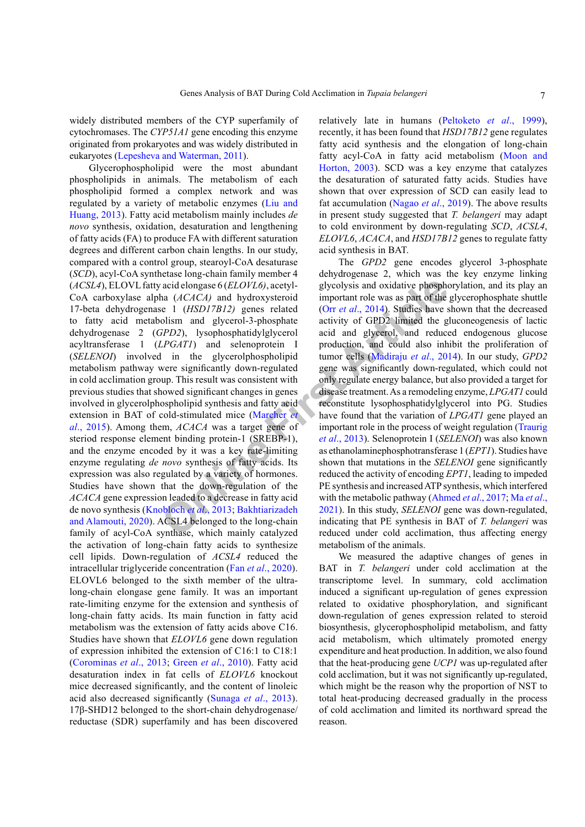widely distributed members of the CYP superfamily of cytochromases. The *CYP51A1* gene encoding this enzyme originated from prokaryotes and was widely distributed in eukaryotes ([Lepesheva and Waterman, 2011](#page-8-6)).

**Example 1** and **EXALUSE CONTLERTS** and **EXALUS** [i](#page-8-13)s and oxidative phospherical inportant role was as part of the  $\epsilon = 1$  (*HSD17B12*) genes related (Orr *et al.*, 2014). Studies have a flycerol-3-phosphate activity of GPD Glycerophospholipid were the most abundant phospholipids in animals. The metabolism of each phospholipid formed a complex network and was regulated by a variety of metabolic enzymes ([Liu and](#page-8-7) [Huang, 2013](#page-8-7)). Fatty acid metabolism mainly includes *de novo* synthesis, oxidation, desaturation and lengthening of fatty acids (FA) to produce FA with different saturation degrees and different carbon chain lengths. In our study, compared with a control group, stearoyl-CoA desaturase (*SCD*), acyl-CoA synthetase long-chain family member 4 (*ACSL4*), ELOVL fatty acid elongase 6 (*ELOVL6)*, acetyl-CoA carboxylase alpha (*ACACA)* and hydroxysteroid 17-beta dehydrogenase 1 (*HSD17B12)* genes related to fatty acid metabolism and glycerol-3-phosphate dehydrogenase 2 (*GPD2*), lysophosphatidylglycerol acyltransferase 1 (*LPGAT1*) and selenoprotein I (*SELENOI*) involved in the glycerolphospholipid metabolism pathway were significantly down-regulated in cold acclimation group. This result was consistent with previous studies that showed significant changes in genes involved in glycerolphospholipid synthesis and fatty acid extension in BAT of cold-stimulated mice (Marcher *et al*[., 2015](#page-8-8)). Among them, *ACACA* was a target gene of steriod response element binding protein-1 (SREBP-1), and the enzyme encoded by it was a key rate-limiting enzyme regulating *de novo* synthesis of fatty acids. Its expression was also regulated by a variety of hormones. Studies have shown that the down-regulation of the *ACACA* gene expression leaded to a decrease in fatty acid de novo synthesis (Knobloch *et al*., 2013; Bakhtiarizadeh [and Alamouti, 2020](#page-7-9)). ACSL4 belonged to the long-chain family of acyl-CoA synthase, which mainly catalyzed the activation of long-chain fatty acids to synthesize cell lipids. Down-regulation of *ACSL4* reduced the intracellular triglyceride concentration (Fan *et al*[., 2020](#page-7-10)). ELOVL6 belonged to the sixth member of the ultralong-chain elongase gene family. It was an important rate-limiting enzyme for the extension and synthesis of long-chain fatty acids. Its main function in fatty acid metabolism was the extension of fatty acids above C16. Studies have shown that *ELOVL6* gene down regulation of expression inhibited the extension of C16:1 to C18:1 [\(Corominas](#page-7-1) *et al*., 2013; Green *et al*[., 2010](#page-7-11)). Fatty acid desaturation index in fat cells of *ELOVL6* knockout mice decreased significantly, and the content of linoleic acid also decreased significantly ([Sunaga](#page-8-9) *et al*., 2013). 17β-SHD12 belonged to the short-chain dehydrogenase/ reductase (SDR) superfamily and has been discovered

relatively late in humans [\(Peltoketo](#page-8-10) *et al*., 1999), recently, it has been found that *HSD17B12* gene regulates fatty acid synthesis and the elongation of long-chain fatty acyl-CoA in fatty acid metabolism [\(Moon and](#page-8-11) [Horton, 2003](#page-8-11)). SCD was a key enzyme that catalyzes the desaturation of saturated fatty acids. Studies have shown that over expression of SCD can easily lead to fat accumulation ([Nagao](#page-8-12) *et al*., 2019). The above results in present study suggested that *T. belangeri* may adapt to cold environment by down-regulating *SCD*, *ACSL4*, *ELOVL6*, *ACACA*, and *HSD17B12* genes to regulate fatty acid synthesis in BAT.

The *GPD2* gene encodes glycerol 3-phosphate dehydrogenase 2, which was the key enzyme linking glycolysis and oxidative phosphorylation, and its play an important role was as part of the glycerophosphate shuttle (Orr *et al*., 2014). Studies have shown that the decreased activity of GPD2 limited the gluconeogenesis of lactic acid and glycerol, and reduced endogenous glucose production, and could also inhibit the proliferation of tumor cells (Madiraju *et al*., 2014). In our study, *GPD2* gene was significantly down-regulated, which could not only regulate energy balance, but also provided a target for disease treatment. As a remodeling enzyme, *LPGAT1* could reconstitute lysophosphatidylglycerol into PG. Studies have found that the variation of *LPGAT1* gene played an important role in the process of weight regulation ([Traurig](#page-8-15) *et al*., 2013). Selenoprotein I (*SELENOI*) was also known as ethanolaminephosphotransferase 1 (*EPT1*). Studies have shown that mutations in the *SELENOI* gene significantly reduced the activity of encoding *EPT1*, leading to impeded PE synthesis and increased ATP synthesis, which interfered with the metabolic pathway [\(Ahmed](#page-7-12) *et al*., 2017; Ma *[et al](#page-8-16)*., 2021). In this study, *SELENOI* gene was down-regulated, indicating that PE synthesis in BAT of *T. belangeri* was reduced under cold acclimation, thus affecting energy metabolism of the animals.

We measured the adaptive changes of genes in BAT in *T. belangeri* under cold acclimation at the transcriptome level. In summary, cold acclimation induced a significant up-regulation of genes expression related to oxidative phosphorylation, and significant down-regulation of genes expression related to steroid biosynthesis, glycerophospholipid metabolism, and fatty acid metabolism, which ultimately promoted energy expenditure and heat production. In addition, we also found that the heat-producing gene *UCP1* was up-regulated after cold acclimation, but it was not significantly up-regulated, which might be the reason why the proportion of NST to total heat-producing decreased gradually in the process of cold acclimation and limited its northward spread the reason.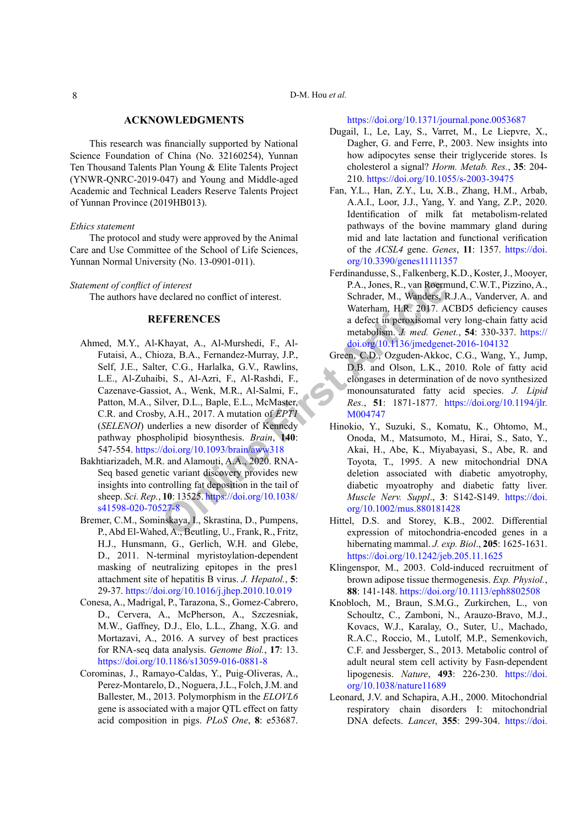#### **ACKNOWLEDGMENTS**

This research was financially supported by National Science Foundation of China (No. 32160254), Yunnan Ten Thousand Talents Plan Young & Elite Talents Project (YNWR-QNRC-2019-047) and Young and Middle-aged Academic and Technical Leaders Reserve Talents Project of Yunnan Province (2019HB013).

#### *Ethics statement*

The protocol and study were approved by the Animal Care and Use Committee of the School of Life Sciences, Yunnan Normal University (No. 13-0901-011).

#### *Statement of conflict of interest*

<span id="page-7-12"></span>The authors have declared no conflict of interest.

#### **REFERENCES**

- Finterest P.A., Jones, R., van Roem<br>
declared no conflict of interest.<br>
Schrader, M., Wanders, R.<br> **CFERENCES** a defect in peroxisomal v<br>
Materham, H.R. 2017. A<br>
a defect in peroxisomal v<br>
metabolism. J. med. Gen<br>
ora, B.A Ahmed, M.Y., Al-Khayat, A., Al-Murshedi, F., Al-Futaisi, A., Chioza, B.A., Fernandez-Murray, J.P., Self, J.E., Salter, C.G., Harlalka, G.V., Rawlins, L.E., Al-Zuhaibi, S., Al-Azri, F., Al-Rashdi, F., Cazenave-Gassiot, A., Wenk, M.R., Al-Salmi, F., Patton, M.A., Silver, D.L., Baple, E.L., McMaster, C.R. and Crosby, A.H., 2017. A mutation of *EPT1* (*SELENOI*) underlies a new disorder of Kennedy pathway phospholipid biosynthesis. *Brain*, **140**: 547-554. https://doi.org/10.1093/brain/aww318
- <span id="page-7-9"></span>Bakhtiarizadeh, M.R. and Alamouti, A.A., 2020. RNA-Seq based genetic variant discovery provides new insights into controlling fat deposition in the tail of sheep. *Sci. Rep.*, **10**: 13525. https://doi.org/10.1038/ [s41598-020-70527-8](https://doi.org/10.1038/s41598-020-70527-8)
- <span id="page-7-2"></span>Bremer, C.M., Sominskaya, I., Skrastina, D., Pumpens, P., Abd El-Wahed, A., Beutling, U., Frank, R., Fritz, H.J., Hunsmann, G., Gerlich, W.H. and Glebe, D., 2011. N-terminal myristoylation-dependent masking of neutralizing epitopes in the pres1 attachment site of hepatitis B virus. *J. Hepatol.*, **5**: 29-37. <https://doi.org/10.1016/j.jhep.2010.10.019>
- <span id="page-7-1"></span>Conesa, A., Madrigal, P., Tarazona, S., Gomez-Cabrero, D., Cervera, A., McPherson, A., Szczesniak, M.W., Gaffney, D.J., Elo, L.L., Zhang, X.G. and Mortazavi, A., 2016. A survey of best practices for RNA-seq data analysis. *Genome Biol.*, **17**: 13. <https://doi.org/10.1186/s13059-016-0881-8>
- Corominas, J., Ramayo-Caldas, Y., Puig-Oliveras, A., Perez-Montarelo, D., Noguera, J.L., Folch, J.M. and Ballester, M., 2013. Polymorphism in the *ELOVL6* gene is associated with a major QTL effect on fatty acid composition in pigs. *PLoS One*, **8**: e53687.

### <https://doi.org/10.1371/journal.pone.0053687>

- <span id="page-7-6"></span>Dugail, I., Le, Lay, S., Varret, M., Le Liepvre, X., Dagher, G. and Ferre, P., 2003. New insights into how adipocytes sense their triglyceride stores. Is cholesterol a signal? *Horm. Metab. Res.*, **35**: 204- 210. <https://doi.org/10.1055/s-2003-39475>
- <span id="page-7-10"></span>Fan, Y.L., Han, Z.Y., Lu, X.B., Zhang, H.M., Arbab, A.A.I., Loor, J.J., Yang, Y. and Yang, Z.P., 2020. Identification of milk fat metabolism-related pathways of the bovine mammary gland during mid and late lactation and functional verification of the *ACSL4* gene. *Genes*, **11**: 1357. [https://doi.](https://doi.org/10.3390/genes11111357) [org/10.3390/genes11111357](https://doi.org/10.3390/genes11111357)
- <span id="page-7-7"></span>Ferdinandusse, S., Falkenberg, K.D., Koster, J., Mooyer, P.A., Jones, R., van Roermund, C.W.T., Pizzino, A., Schrader, M., Wanders, R.J.A., Vanderver, A. and Waterham, H.R. 2017. ACBD5 deficiency causes a defect in peroxisomal very long-chain fatty acid metabolism. *J. med. Genet.*, **54**: 330-337. [https://](https://doi.org/10.1136/jmedgenet-2016-104132) [doi.org/10.1136/jmedgenet-2016-104132](https://doi.org/10.1136/jmedgenet-2016-104132)
- <span id="page-7-11"></span>Green, C.D., Ozguden-Akkoc, C.G., Wang, Y., Jump, D.B. and Olson, L.K., 2010. Role of fatty acid elongases in determination of de novo synthesized monounsaturated fatty acid species. *J. Lipid Res.*, **51**: 1871-1877. [https://doi.org/10.1194/jlr.](https://doi.org/10.1194/jlr.M004747) M004747
- <span id="page-7-4"></span>Hinokio, Y., Suzuki, S., Komatu, K., Ohtomo, M., Onoda, M., Matsumoto, M., Hirai, S., Sato, Y., Akai, H., Abe, K., Miyabayasi, S., Abe, R. and Toyota, T., 1995. A new mitochondrial DNA deletion associated with diabetic amyotrophy, diabetic myoatrophy and diabetic fatty liver. *Muscle Nerv. Suppl*., **3**: S142-S149. [https://doi.](https://doi.org/10.1002/mus.880181428) org/10.1002/mus.880181428
- <span id="page-7-5"></span>Hittel, D.S. and Storey, K.B., 2002. Differential expression of mitochondria-encoded genes in a hibernating mammal. *J. exp. Biol*., **205**: 1625-1631. <https://doi.org/10.1242/jeb.205.11.1625>
- <span id="page-7-0"></span>Klingenspor, M., 2003. Cold-induced recruitment of brown adipose tissue thermogenesis. *Exp. Physiol.*, **88**: 141-148. <https://doi.org/10.1113/eph8802508>
- <span id="page-7-8"></span>Knobloch, M., Braun, S.M.G., Zurkirchen, L., von Schoultz, C., Zamboni, N., Arauzo-Bravo, M.J., Kovacs, W.J., Karalay, O., Suter, U., Machado, R.A.C., Roccio, M., Lutolf, M.P., Semenkovich, C.F. and Jessberger, S., 2013. Metabolic control of adult neural stem cell activity by Fasn-dependent lipogenesis. *Nature*, **493**: 226-230. [https://doi.](https://doi.org/10.1038/nature11689) [org/10.1038/nature11689](https://doi.org/10.1038/nature11689)
- <span id="page-7-3"></span>Leonard, J.V. and Schapira, A.H., 2000. Mitochondrial respiratory chain disorders I: mitochondrial DNA defects. *Lancet*, **355**: 299-304. [https://doi.](https://doi.org/10.1016/S0140-6736(99)05225-3)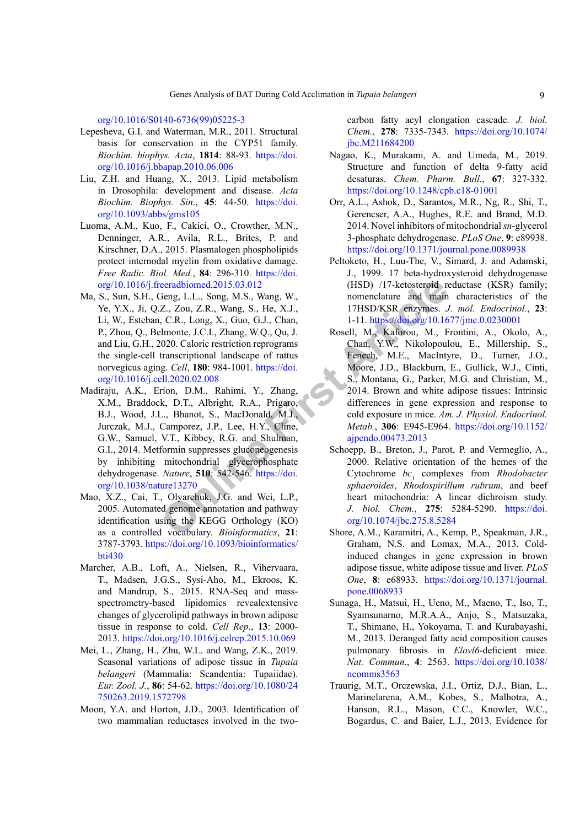[org/10.1016/S0140-6736\(99\)05225-3](https://doi.org/10.1016/S0140-6736(99)05225-3)

- <span id="page-8-6"></span>Lepesheva, G.I. and Waterman, M.R., 2011. Structural basis for conservation in the CYP51 family. *Biochim. biophys. Acta*, **1814**: 88-93. [https://doi.](https://doi.org/10.1016/j.bbapap.2010.06.006) [org/10.1016/j.bbapap.2010.06.006](https://doi.org/10.1016/j.bbapap.2010.06.006)
- <span id="page-8-7"></span>Liu, Z.H. and Huang, X., 2013. Lipid metabolism in Drosophila: development and disease. *Acta Biochim. Biophys. Sin*., **45**: 44-50. [https://doi.](https://doi.org/10.1093/abbs/gms105) [org/10.1093/abbs/gms105](https://doi.org/10.1093/abbs/gms105)
- <span id="page-8-4"></span>Luoma, A.M., Kuo, F., Cakici, O., Crowther, M.N., Denninger, A.R., Avila, R.L., Brites, P. and Kirschner, D.A., 2015. Plasmalogen phospholipids protect internodal myelin from oxidative damage. *Free Radic. Biol. Med.*, **84**: 296-310. [https://doi.](https://doi.org/10.1016/j.freeradbiomed.2015.03.012) [org/10.1016/j.freeradbiomed.2015.03.012](https://doi.org/10.1016/j.freeradbiomed.2015.03.012)
- <span id="page-8-16"></span><span id="page-8-14"></span>Ma, S., Sun, S.H., Geng, L.L., Song, M.S., Wang, W., Ye, Y.X., Ji, Q.Z., Zou, Z.R., Wang, S., He, X.J., Li, W., Esteban, C.R., Long, X., Guo, G.J., Chan, P., Zhou, Q., Belmonte, J.C.I., Zhang, W.Q., Qu, J. and Liu, G.H., 2020. Caloric restriction reprograms the single-cell transcriptional landscape of rattus norvegicus aging. *Cell*, **180**: 984-1001. https://doi. [org/10.1016/j.cell.2020.02.008](https://doi.org/10.1016/j.cell.2020.02.008)
- [e](https://doi.org/10.1038/nature13270)eradbiomed.2015.03.012 (HSD) /17-ketosteroid reap, C.R., Long, M.S., Wang, W. annenclature and main Z., Zou, Z.R., Wang, S., He, X.J., and THISD/KSR enzymes. J. C.R., Long, X., Guo, G.J., Chan, 1-11. https://doi.com/1. Ho Madiraju, A.K., Erion, D.M., Rahimi, Y., Zhang, X.M., Braddock, D.T., Albright, R.A., Prigaro, B.J., Wood, J.L., Bhanot, S., MacDonald, M.J., Jurczak, M.J., Camporez, J.P., Lee, H.Y., Cline, G.W., Samuel, V.T., Kibbey, R.G. and Shulman, G.I., 2014. Metformin suppresses gluconeogenesis by inhibiting mitochondrial glycerophosphate dehydrogenase. *Nature*, **510**: 542-546. https://doi. [org/10.1038/nature13270](https://doi.org/10.1038/nature13270)
- <span id="page-8-2"></span>Mao, X.Z., Cai, T., Olyarchuk, J.G. and Wei, L.P., 2005. Automated genome annotation and pathway identification using the KEGG Orthology (KO) as a controlled vocabulary. *Bioinformatics*, **21**: 3787-3793. [https://doi.org/10.1093/bioinformatics/](https://doi.org/10.1093/bioinformatics/bti430) [bti430](https://doi.org/10.1093/bioinformatics/bti430)
- <span id="page-8-8"></span>Marcher, A.B., Loft, A., Nielsen, R., Vihervaara, T., Madsen, J.G.S., Sysi-Aho, M., Ekroos, K. and Mandrup, S., 2015. RNA-Seq and massspectrometry-based lipidomics revealextensive changes of glycerolipid pathways in brown adipose tissue in response to cold. *Cell Rep*., **13**: 2000- 2013. <https://doi.org/10.1016/j.celrep.2015.10.069>
- <span id="page-8-3"></span>Mei, L., Zhang, H., Zhu, W.L. and Wang, Z.K., 2019. Seasonal variations of adipose tissue in *Tupaia belangeri* (Mammalia: Scandentia: Tupaiidae). *Eur. Zool. J.*, **86**: 54-62. [https://doi.org/10.1080/24](https://doi.org/10.1080/24750263.2019.1572798) [750263.2019.1572798](https://doi.org/10.1080/24750263.2019.1572798)
- <span id="page-8-11"></span>Moon, Y.A. and Horton, J.D., 2003. Identification of two mammalian reductases involved in the two-

carbon fatty acyl elongation cascade. *J. biol. Chem.*, **278**: 7335-7343. [https://doi.org/10.1074/](https://doi.org/10.1074/jbc.M211684200) [jbc.M211684200](https://doi.org/10.1074/jbc.M211684200)

- <span id="page-8-12"></span>Nagao, K., Murakami, A. and Umeda, M., 2019. Structure and function of delta 9-fatty acid desaturas. *Chem. Pharm. Bull.*, **67**: 327-332. <https://doi.org/10.1248/cpb.c18-01001>
- <span id="page-8-13"></span>Orr, A.L., Ashok, D., Sarantos, M.R., Ng, R., Shi, T., Gerencser, A.A., Hughes, R.E. and Brand, M.D. 2014. Novel inhibitors of mitochondrial *sn*-glycerol 3-phosphate dehydrogenase. *PLoS One*, **9**: e89938. <https://doi.org/10.1371/journal.pone.0089938>
- <span id="page-8-10"></span>Peltoketo, H., Luu-The, V., Simard, J. and Adamski, J., 1999. 17 beta-hydroxysteroid dehydrogenase (HSD) /17-ketosteroid reductase (KSR) family; nomenclature and main characteristics of the 17HSD/KSR enzymes. *J. mol. Endocrinol.*, **23**: 1-11. <https://doi.org/10.1677/jme.0.0230001>
- <span id="page-8-1"></span>Rosell, M., Kaforou, M., Frontini, A., Okolo, A., Chan, Y.W., Nikolopoulou, E., Millership, S., Fenech, M.E., MacIntyre, D., Turner, J.O., Moore, J.D., Blackburn, E., Gullick, W.J., Cinti, S., Montana, G., Parker, M.G. and Christian, M., 2014. Brown and white adipose tissues: Intrinsic differences in gene expression and response to cold exposure in mice. *Am. J. Physiol. Endocrinol. Metab.*, **306**: E945-E964. [https://doi.org/10.1152/](https://doi.org/10.1152/ajpendo.00473.2013) aipendo.00473.2013
- <span id="page-8-5"></span>Schoepp, B., Breton, J., Parot, P. and Vermeglio, A., 2000. Relative orientation of the hemes of the Cytochrome  $bc_1$  complexes from *Rhodobacter sphaeroides*, *Rhodospirillum rubrum*, and beef heart mitochondria: A linear dichroism study. *J. biol. Chem.*, **275**: 5284-5290. [https://doi.](https://doi.org/10.1074/jbc.275.8.5284) org/10.1074/jbc.275.8.5284
- <span id="page-8-0"></span>Shore, A.M., Karamitri, A., Kemp, P., Speakman, J.R., Graham, N.S. and Lomax, M.A., 2013. Coldinduced changes in gene expression in brown adipose tissue, white adipose tissue and liver. *PLoS One*, **8**: e68933. [https://doi.org/10.1371/journal.](https://doi.org/10.1371/journal.pone.0068933) [pone.0068933](https://doi.org/10.1371/journal.pone.0068933)
- <span id="page-8-9"></span>Sunaga, H., Matsui, H., Ueno, M., Maeno, T., Iso, T., Syamsunarno, M.R.A.A., Anjo, S., Matsuzaka, T., Shimano, H., Yokoyama, T. and Kurabayashi, M., 2013. Deranged fatty acid composition causes pulmonary fibrosis in *Elovl6*-deficient mice. *Nat. Commun*., **4**: 2563. [https://doi.org/10.1038/](https://doi.org/10.1038/ncomms3563) [ncomms3563](https://doi.org/10.1038/ncomms3563)
- <span id="page-8-15"></span>Traurig, M.T., Orczewska, J.I., Ortiz, D.J., Bian, L., Marinelarena, A.M., Kobes, S., Malhotra, A., Hanson, R.L., Mason, C.C., Knowler, W.C., Bogardus, C. and Baier, L.J., 2013. Evidence for